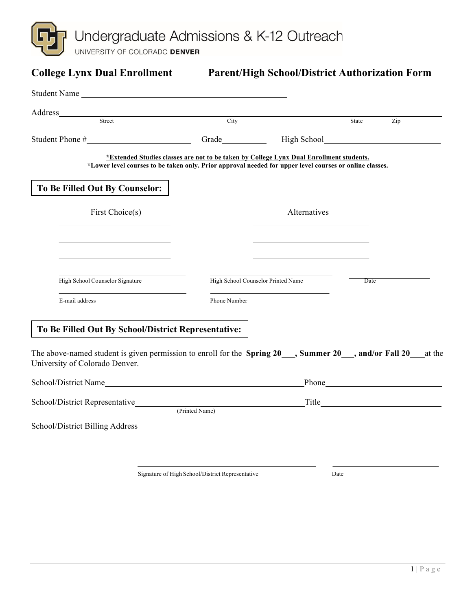Undergraduate Admissions & K-12 Outreach<br>UNIVERSITY OF COLORADO DENVER

| <b>College Lynx Dual Enrollment</b>                                                                                                                                                                                            |                                                                                         | <b>Parent/High School/District Authorization Form</b>                                                                 |       |     |
|--------------------------------------------------------------------------------------------------------------------------------------------------------------------------------------------------------------------------------|-----------------------------------------------------------------------------------------|-----------------------------------------------------------------------------------------------------------------------|-------|-----|
| Student Name Lawrence and the state of the state of the state of the state of the state of the state of the state of the state of the state of the state of the state of the state of the state of the state of the state of t |                                                                                         |                                                                                                                       |       |     |
| Street                                                                                                                                                                                                                         | City                                                                                    |                                                                                                                       |       |     |
|                                                                                                                                                                                                                                |                                                                                         |                                                                                                                       | State | Zip |
|                                                                                                                                                                                                                                |                                                                                         |                                                                                                                       |       |     |
| *Lower level courses to be taken only. Prior approval needed for upper level courses or online classes.                                                                                                                        | *Extended Studies classes are not to be taken by College Lynx Dual Enrollment students. |                                                                                                                       |       |     |
| To Be Filled Out By Counselor:                                                                                                                                                                                                 |                                                                                         |                                                                                                                       |       |     |
| First Choice(s)                                                                                                                                                                                                                |                                                                                         | Alternatives                                                                                                          |       |     |
|                                                                                                                                                                                                                                |                                                                                         |                                                                                                                       |       |     |
|                                                                                                                                                                                                                                |                                                                                         |                                                                                                                       |       |     |
| High School Counselor Signature                                                                                                                                                                                                |                                                                                         | High School Counselor Printed Name                                                                                    | Date  |     |
| E-mail address                                                                                                                                                                                                                 | Phone Number                                                                            |                                                                                                                       |       |     |
| To Be Filled Out By School/District Representative:                                                                                                                                                                            |                                                                                         |                                                                                                                       |       |     |
| The above-named student is given permission to enroll for the Spring 20 ___, Summer 20 ___, and/or Fall 20 ___ at the<br>University of Colorado Denver.                                                                        |                                                                                         |                                                                                                                       |       |     |
|                                                                                                                                                                                                                                |                                                                                         |                                                                                                                       |       |     |
|                                                                                                                                                                                                                                | (Printed Name)                                                                          | <u>Title Communications and Title Communications and the set of the set of the set of the set of the set of the s</u> |       |     |
|                                                                                                                                                                                                                                |                                                                                         |                                                                                                                       |       |     |
|                                                                                                                                                                                                                                |                                                                                         |                                                                                                                       |       |     |
|                                                                                                                                                                                                                                |                                                                                         |                                                                                                                       |       |     |

Signature of High School/District Representative Date